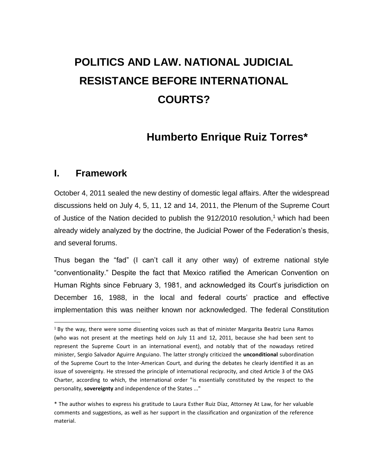# **POLITICS AND LAW. NATIONAL JUDICIAL RESISTANCE BEFORE INTERNATIONAL COURTS?**

# **Humberto Enrique Ruiz Torres\***

#### **I. Framework**

 $\overline{a}$ 

October 4, 2011 sealed the new destiny of domestic legal affairs. After the widespread discussions held on July 4, 5, 11, 12 and 14, 2011, the Plenum of the Supreme Court of Justice of the Nation decided to publish the 912/2010 resolution, <sup>1</sup> which had been already widely analyzed by the doctrine, the Judicial Power of the Federation's thesis, and several forums.

Thus began the "fad" (I can't call it any other way) of extreme national style "conventionality." Despite the fact that Mexico ratified the American Convention on Human Rights since February 3, 1981, and acknowledged its Court's jurisdiction on December 16, 1988, in the local and federal courts' practice and effective implementation this was neither known nor acknowledged. The federal Constitution

 $1$  By the way, there were some dissenting voices such as that of minister Margarita Beatriz Luna Ramos (who was not present at the meetings held on July 11 and 12, 2011, because she had been sent to represent the Supreme Court in an international event), and notably that of the nowadays retired minister, Sergio Salvador Aguirre Anguiano. The latter strongly criticized the **unconditional** subordination of the Supreme Court to the Inter-American Court, and during the debates he clearly identified it as an issue of sovereignty. He stressed the principle of international reciprocity, and cited Article 3 of the OAS Charter, according to which, the international order "is essentially constituted by the respect to the personality, **sovereignty** and independence of the States ..."

<sup>\*</sup> The author wishes to express his gratitude to Laura Esther Ruiz Díaz, Attorney At Law, for her valuable comments and suggestions, as well as her support in the classification and organization of the reference material.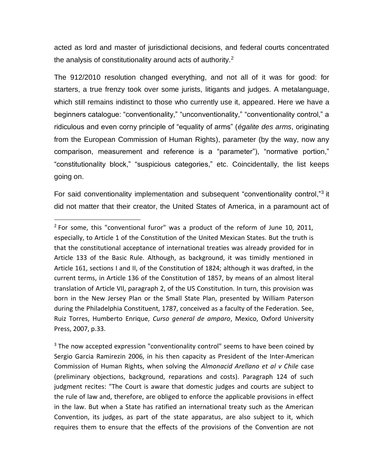acted as lord and master of jurisdictional decisions, and federal courts concentrated the analysis of constitutionality around acts of authority.<sup>2</sup>

The 912/2010 resolution changed everything, and not all of it was for good: for starters, a true frenzy took over some jurists, litigants and judges. A metalanguage, which still remains indistinct to those who currently use it, appeared. Here we have a beginners catalogue: "conventionality," "unconventionality," "conventionality control," a ridiculous and even corny principle of "equality of arms" (*égalite des arms*, originating from the European Commission of Human Rights), parameter (by the way, now any comparison, measurement and reference is a "parameter"), "normative portion," "constitutionality block," "suspicious categories," etc. Coincidentally, the list keeps going on.

For said conventionality implementation and subsequent "conventionality control,"<sup>3</sup> it did not matter that their creator, the United States of America, in a paramount act of

 $2$  For some, this "conventional furor" was a product of the reform of June 10, 2011, especially, to Article 1 of the Constitution of the United Mexican States. But the truth is that the constitutional acceptance of international treaties was already provided for in Article 133 of the Basic Rule. Although, as background, it was timidly mentioned in Article 161, sections I and II, of the Constitution of 1824; although it was drafted, in the current terms, in Article 136 of the Constitution of 1857, by means of an almost literal translation of Article VII, paragraph 2, of the US Constitution. In turn, this provision was born in the New Jersey Plan or the Small State Plan, presented by William Paterson during the Philadelphia Constituent, 1787, conceived as a faculty of the Federation. See, Ruiz Torres, Humberto Enrique, *Curso general de amparo*, Mexico, Oxford University Press, 2007, p.33.

<sup>&</sup>lt;sup>3</sup> The now accepted expression "conventionality control" seems to have been coined by Sergio Garcia Ramirezin 2006, in his then capacity as President of the Inter-American Commission of Human Rights, when solving the *Almonacid Arellano et al v Chile* case (preliminary objections, background, reparations and costs). Paragraph 124 of such judgment recites: "The Court is aware that domestic judges and courts are subject to the rule of law and, therefore, are obliged to enforce the applicable provisions in effect in the law. But when a State has ratified an international treaty such as the American Convention, its judges, as part of the state apparatus, are also subject to it, which requires them to ensure that the effects of the provisions of the Convention are not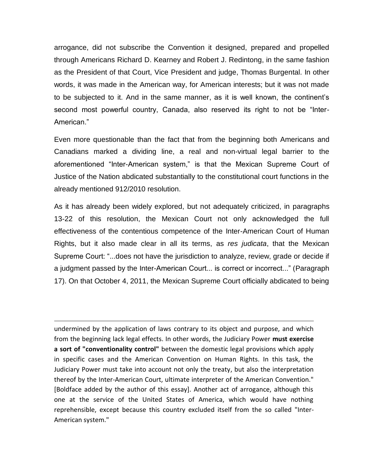arrogance, did not subscribe the Convention it designed, prepared and propelled through Americans Richard D. Kearney and Robert J. Redintong, in the same fashion as the President of that Court, Vice President and judge, Thomas Burgental. In other words, it was made in the American way, for American interests; but it was not made to be subjected to it. And in the same manner, as it is well known, the continent's second most powerful country, Canada, also reserved its right to not be "Inter-American."

Even more questionable than the fact that from the beginning both Americans and Canadians marked a dividing line, a real and non-virtual legal barrier to the aforementioned "Inter-American system," is that the Mexican Supreme Court of Justice of the Nation abdicated substantially to the constitutional court functions in the already mentioned 912/2010 resolution.

As it has already been widely explored, but not adequately criticized, in paragraphs 13-22 of this resolution, the Mexican Court not only acknowledged the full effectiveness of the contentious competence of the Inter-American Court of Human Rights, but it also made clear in all its terms, as *res judicata*, that the Mexican Supreme Court: "...does not have the jurisdiction to analyze, review, grade or decide if a judgment passed by the Inter-American Court... is correct or incorrect..." (Paragraph 17). On that October 4, 2011, the Mexican Supreme Court officially abdicated to being

undermined by the application of laws contrary to its object and purpose, and which from the beginning lack legal effects. In other words, the Judiciary Power **must exercise a sort of "conventionality control"** between the domestic legal provisions which apply in specific cases and the American Convention on Human Rights. In this task, the Judiciary Power must take into account not only the treaty, but also the interpretation thereof by the Inter-American Court, ultimate interpreter of the American Convention." [Boldface added by the author of this essay]. Another act of arrogance, although this one at the service of the United States of America, which would have nothing reprehensible, except because this country excluded itself from the so called "Inter-American system."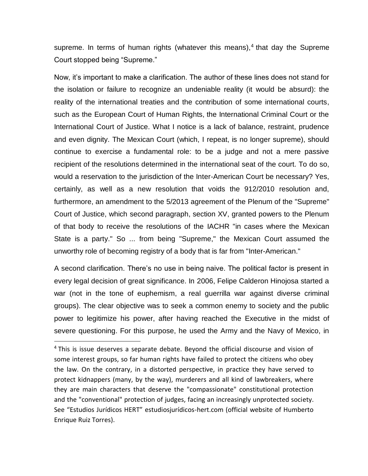supreme. In terms of human rights (whatever this means), 4 that day the Supreme Court stopped being "Supreme."

Now, it's important to make a clarification. The author of these lines does not stand for the isolation or failure to recognize an undeniable reality (it would be absurd): the reality of the international treaties and the contribution of some international courts, such as the European Court of Human Rights, the International Criminal Court or the International Court of Justice. What I notice is a lack of balance, restraint, prudence and even dignity. The Mexican Court (which, I repeat, is no longer supreme), should continue to exercise a fundamental role: to be a judge and not a mere passive recipient of the resolutions determined in the international seat of the court. To do so, would a reservation to the jurisdiction of the Inter-American Court be necessary? Yes, certainly, as well as a new resolution that voids the 912/2010 resolution and, furthermore, an amendment to the 5/2013 agreement of the Plenum of the "Supreme" Court of Justice, which second paragraph, section XV, granted powers to the Plenum of that body to receive the resolutions of the IACHR "in cases where the Mexican State is a party." So ... from being "Supreme," the Mexican Court assumed the unworthy role of becoming registry of a body that is far from "Inter-American."

A second clarification. There's no use in being naive. The political factor is present in every legal decision of great significance. In 2006, Felipe Calderon Hinojosa started a war (not in the tone of euphemism, a real guerrilla war against diverse criminal groups). The clear objective was to seek a common enemy to society and the public power to legitimize his power, after having reached the Executive in the midst of severe questioning. For this purpose, he used the Army and the Navy of Mexico, in

 $4$  This is issue deserves a separate debate. Beyond the official discourse and vision of some interest groups, so far human rights have failed to protect the citizens who obey the law. On the contrary, in a distorted perspective, in practice they have served to protect kidnappers (many, by the way), murderers and all kind of lawbreakers, where they are main characters that deserve the "compassionate" constitutional protection and the "conventional" protection of judges, facing an increasingly unprotected society. See "Estudios Jurídicos HERT" estudiosjurídicos-hert.com (official website of Humberto Enrique Ruiz Torres).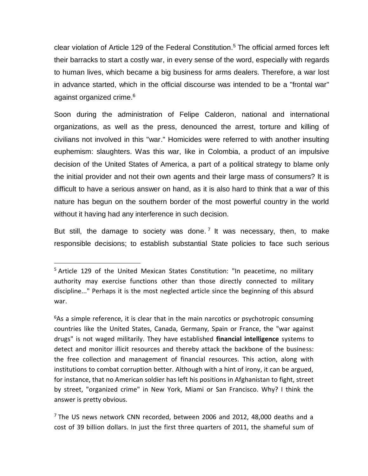clear violation of Article 129 of the Federal Constitution. <sup>5</sup> The official armed forces left their barracks to start a costly war, in every sense of the word, especially with regards to human lives, which became a big business for arms dealers. Therefore, a war lost in advance started, which in the official discourse was intended to be a "frontal war" against organized crime. 6

Soon during the administration of Felipe Calderon, national and international organizations, as well as the press, denounced the arrest, torture and killing of civilians not involved in this "war." Homicides were referred to with another insulting euphemism: slaughters. Was this war, like in Colombia, a product of an impulsive decision of the United States of America, a part of a political strategy to blame only the initial provider and not their own agents and their large mass of consumers? It is difficult to have a serious answer on hand, as it is also hard to think that a war of this nature has begun on the southern border of the most powerful country in the world without it having had any interference in such decision.

But still, the damage to society was done.<sup>7</sup> It was necessary, then, to make responsible decisions; to establish substantial State policies to face such serious

 $\overline{a}$ 

 $6$ As a simple reference, it is clear that in the main narcotics or psychotropic consuming countries like the United States, Canada, Germany, Spain or France, the "war against drugs" is not waged militarily. They have established **financial intelligence** systems to detect and monitor illicit resources and thereby attack the backbone of the business: the free collection and management of financial resources. This action, along with institutions to combat corruption better. Although with a hint of irony, it can be argued, for instance, that no American soldier has left his positions in Afghanistan to fight, street by street, "organized crime" in New York, Miami or San Francisco. Why? I think the answer is pretty obvious.

 $7$  The US news network CNN recorded, between 2006 and 2012, 48,000 deaths and a cost of 39 billion dollars. In just the first three quarters of 2011, the shameful sum of

<sup>&</sup>lt;sup>5</sup> Article 129 of the United Mexican States Constitution: "In peacetime, no military authority may exercise functions other than those directly connected to military discipline..." Perhaps it is the most neglected article since the beginning of this absurd war.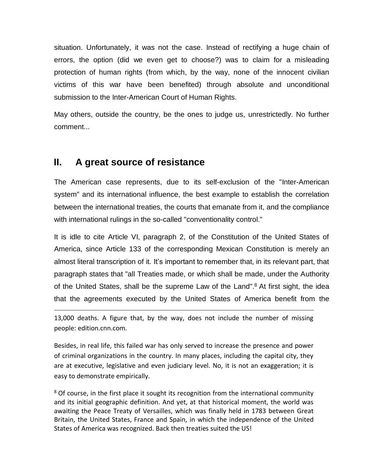situation. Unfortunately, it was not the case. Instead of rectifying a huge chain of errors, the option (did we even get to choose?) was to claim for a misleading protection of human rights (from which, by the way, none of the innocent civilian victims of this war have been benefited) through absolute and unconditional submission to the Inter-American Court of Human Rights.

May others, outside the country, be the ones to judge us, unrestrictedly. No further comment...

## **II. A great source of resistance**

 $\overline{a}$ 

The American case represents, due to its self-exclusion of the "Inter-American system" and its international influence, the best example to establish the correlation between the international treaties, the courts that emanate from it, and the compliance with international rulings in the so-called "conventionality control."

It is idle to cite Article VI, paragraph 2, of the Constitution of the United States of America, since Article 133 of the corresponding Mexican Constitution is merely an almost literal transcription of it. It's important to remember that, in its relevant part, that paragraph states that "all Treaties made, or which shall be made, under the Authority of the United States, shall be the supreme Law of the Land".<sup>8</sup> At first sight, the idea that the agreements executed by the United States of America benefit from the

13,000 deaths. A figure that, by the way, does not include the number of missing people: edition.cnn.com.

Besides, in real life, this failed war has only served to increase the presence and power of criminal organizations in the country. In many places, including the capital city, they are at executive, legislative and even judiciary level. No, it is not an exaggeration; it is easy to demonstrate empirically.

<sup>8</sup> Of course, in the first place it sought its recognition from the international community and its initial geographic definition. And yet, at that historical moment, the world was awaiting the Peace Treaty of Versailles, which was finally held in 1783 between Great Britain, the United States, France and Spain, in which the independence of the United States of America was recognized. Back then treaties suited the US!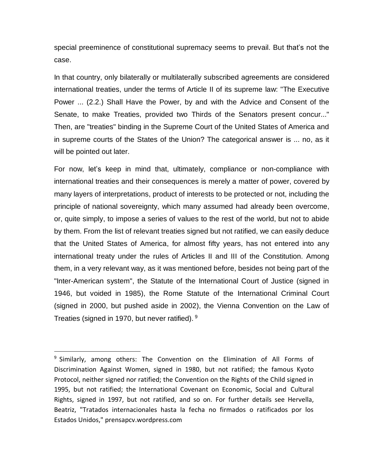special preeminence of constitutional supremacy seems to prevail. But that's not the case.

In that country, only bilaterally or multilaterally subscribed agreements are considered international treaties, under the terms of Article II of its supreme law: "The Executive Power ... (2.2.) Shall Have the Power, by and with the Advice and Consent of the Senate, to make Treaties, provided two Thirds of the Senators present concur..." Then, are "treaties" binding in the Supreme Court of the United States of America and in supreme courts of the States of the Union? The categorical answer is ... no, as it will be pointed out later.

For now, let's keep in mind that, ultimately, compliance or non-compliance with international treaties and their consequences is merely a matter of power, covered by many layers of interpretations, product of interests to be protected or not, including the principle of national sovereignty, which many assumed had already been overcome, or, quite simply, to impose a series of values to the rest of the world, but not to abide by them. From the list of relevant treaties signed but not ratified, we can easily deduce that the United States of America, for almost fifty years, has not entered into any international treaty under the rules of Articles II and III of the Constitution. Among them, in a very relevant way, as it was mentioned before, besides not being part of the "Inter-American system", the Statute of the International Court of Justice (signed in 1946, but voided in 1985), the Rome Statute of the International Criminal Court (signed in 2000, but pushed aside in 2002), the Vienna Convention on the Law of Treaties (signed in 1970, but never ratified). 9

<sup>&</sup>lt;sup>9</sup> Similarly, among others: The Convention on the Elimination of All Forms of Discrimination Against Women, signed in 1980, but not ratified; the famous Kyoto Protocol, neither signed nor ratified; the Convention on the Rights of the Child signed in 1995, but not ratified; the International Covenant on Economic, Social and Cultural Rights, signed in 1997, but not ratified, and so on. For further details see Hervella, Beatriz, "Tratados internacionales hasta la fecha no firmados o ratificados por los Estados Unidos," prensapcv.wordpress.com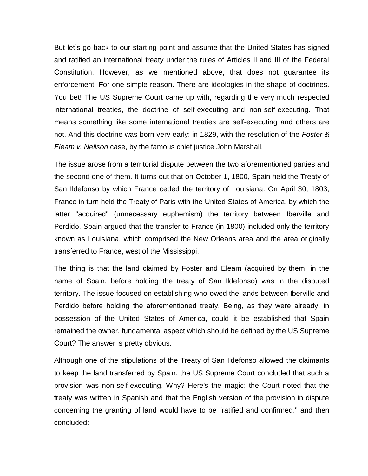But let's go back to our starting point and assume that the United States has signed and ratified an international treaty under the rules of Articles II and III of the Federal Constitution. However, as we mentioned above, that does not guarantee its enforcement. For one simple reason. There are ideologies in the shape of doctrines. You bet! The US Supreme Court came up with, regarding the very much respected international treaties, the doctrine of self-executing and non-self-executing. That means something like some international treaties are self-executing and others are not. And this doctrine was born very early: in 1829, with the resolution of the *Foster & Eleam v. Neilson* case, by the famous chief justice John Marshall.

The issue arose from a territorial dispute between the two aforementioned parties and the second one of them. It turns out that on October 1, 1800, Spain held the Treaty of San Ildefonso by which France ceded the territory of Louisiana. On April 30, 1803, France in turn held the Treaty of Paris with the United States of America, by which the latter "acquired" (unnecessary euphemism) the territory between Iberville and Perdido. Spain argued that the transfer to France (in 1800) included only the territory known as Louisiana, which comprised the New Orleans area and the area originally transferred to France, west of the Mississippi.

The thing is that the land claimed by Foster and Eleam (acquired by them, in the name of Spain, before holding the treaty of San Ildefonso) was in the disputed territory. The issue focused on establishing who owed the lands between Iberville and Perdido before holding the aforementioned treaty. Being, as they were already, in possession of the United States of America, could it be established that Spain remained the owner, fundamental aspect which should be defined by the US Supreme Court? The answer is pretty obvious.

Although one of the stipulations of the Treaty of San Ildefonso allowed the claimants to keep the land transferred by Spain, the US Supreme Court concluded that such a provision was non-self-executing. Why? Here's the magic: the Court noted that the treaty was written in Spanish and that the English version of the provision in dispute concerning the granting of land would have to be "ratified and confirmed," and then concluded: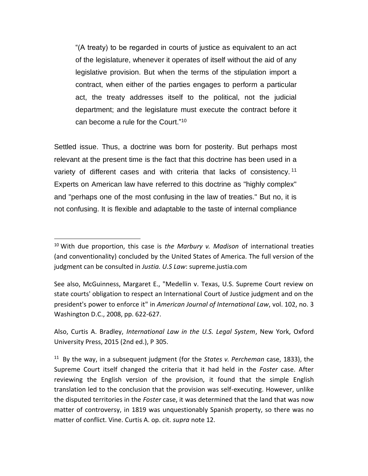"(A treaty) to be regarded in courts of justice as equivalent to an act of the legislature, whenever it operates of itself without the aid of any legislative provision. But when the terms of the stipulation import a contract, when either of the parties engages to perform a particular act, the treaty addresses itself to the political, not the judicial department; and the legislature must execute the contract before it can become a rule for the Court."<sup>10</sup>

Settled issue. Thus, a doctrine was born for posterity. But perhaps most relevant at the present time is the fact that this doctrine has been used in a variety of different cases and with criteria that lacks of consistency.<sup>11</sup> Experts on American law have referred to this doctrine as "highly complex" and "perhaps one of the most confusing in the law of treaties." But no, it is not confusing. It is flexible and adaptable to the taste of internal compliance

 $\overline{a}$ 

See also, McGuinness, Margaret E., "Medellin v. Texas, U.S. Supreme Court review on state courts' obligation to respect an International Court of Justice judgment and on the president's power to enforce it" in *American Journal of International Law*, vol. 102, no. 3 Washington D.C., 2008, pp. 622-627.

Also, Curtis A. Bradley, *International Law in the U.S. Legal System*, New York, Oxford University Press, 2015 (2nd ed.), P 305.

11 By the way, in a subsequent judgment (for the *States v. Percheman* case, 1833), the Supreme Court itself changed the criteria that it had held in the *Foster* case. After reviewing the English version of the provision, it found that the simple English translation led to the conclusion that the provision was self-executing. However, unlike the disputed territories in the *Foster* case, it was determined that the land that was now matter of controversy, in 1819 was unquestionably Spanish property, so there was no matter of conflict. Vine. Curtis A. op. cit. *supra* note 12.

<sup>10</sup> With due proportion, this case is *the Marbury v. Madison* of international treaties (and conventionality) concluded by the United States of America. The full version of the judgment can be consulted in *Justia. U.S Law*: supreme.justia.com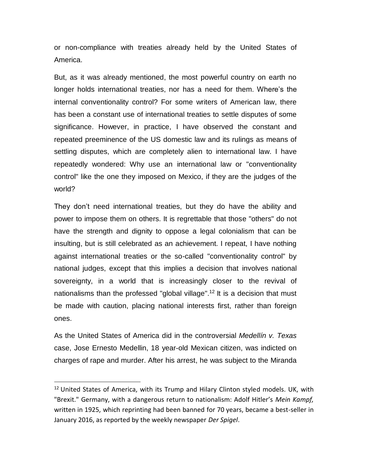or non-compliance with treaties already held by the United States of America.

But, as it was already mentioned, the most powerful country on earth no longer holds international treaties, nor has a need for them. Where's the internal conventionality control? For some writers of American law, there has been a constant use of international treaties to settle disputes of some significance. However, in practice, I have observed the constant and repeated preeminence of the US domestic law and its rulings as means of settling disputes, which are completely alien to international law. I have repeatedly wondered: Why use an international law or "conventionality control" like the one they imposed on Mexico, if they are the judges of the world?

They don't need international treaties, but they do have the ability and power to impose them on others. It is regrettable that those "others" do not have the strength and dignity to oppose a legal colonialism that can be insulting, but is still celebrated as an achievement. I repeat, I have nothing against international treaties or the so-called "conventionality control" by national judges, except that this implies a decision that involves national sovereignty, in a world that is increasingly closer to the revival of nationalisms than the professed "global village".<sup>12</sup> It is a decision that must be made with caution, placing national interests first, rather than foreign ones.

As the United States of America did in the controversial *Medellín v. Texas* case, Jose Ernesto Medellin, 18 year-old Mexican citizen, was indicted on charges of rape and murder. After his arrest, he was subject to the Miranda

 $12$  United States of America, with its Trump and Hilary Clinton styled models. UK, with "Brexit." Germany, with a dangerous return to nationalism: Adolf Hitler's *Mein Kampf,* written in 1925, which reprinting had been banned for 70 years, became a best-seller in January 2016, as reported by the weekly newspaper *Der Spigel*.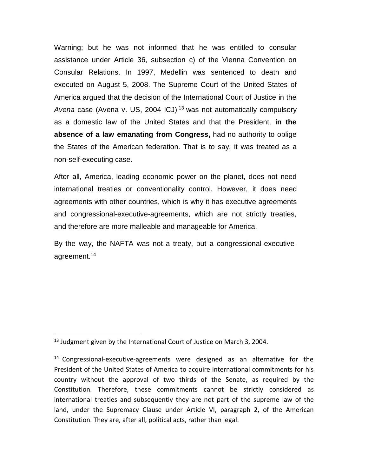Warning; but he was not informed that he was entitled to consular assistance under Article 36, subsection c) of the Vienna Convention on Consular Relations. In 1997, Medellin was sentenced to death and executed on August 5, 2008. The Supreme Court of the United States of America argued that the decision of the International Court of Justice in the *Avena* case (Avena v. US, 2004 ICJ) <sup>13</sup> was not automatically compulsory as a domestic law of the United States and that the President, **in the absence of a law emanating from Congress,** had no authority to oblige the States of the American federation. That is to say, it was treated as a non-self-executing case.

After all, America, leading economic power on the planet, does not need international treaties or conventionality control. However, it does need agreements with other countries, which is why it has executive agreements and congressional-executive-agreements, which are not strictly treaties, and therefore are more malleable and manageable for America.

By the way, the NAFTA was not a treaty, but a congressional-executiveagreement. 14

<sup>&</sup>lt;sup>13</sup> Judgment given by the International Court of Justice on March 3, 2004.

 $14$  Congressional-executive-agreements were designed as an alternative for the President of the United States of America to acquire international commitments for his country without the approval of two thirds of the Senate, as required by the Constitution. Therefore, these commitments cannot be strictly considered as international treaties and subsequently they are not part of the supreme law of the land, under the Supremacy Clause under Article VI, paragraph 2, of the American Constitution. They are, after all, political acts, rather than legal.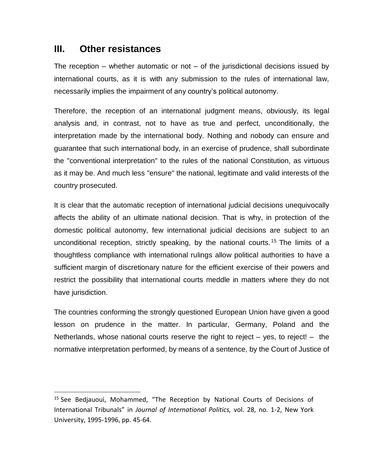## **III. Other resistances**

 $\overline{a}$ 

The reception – whether automatic or not – of the jurisdictional decisions issued by international courts, as it is with any submission to the rules of international law, necessarily implies the impairment of any country's political autonomy.

Therefore, the reception of an international judgment means, obviously, its legal analysis and, in contrast, not to have as true and perfect, unconditionally, the interpretation made by the international body. Nothing and nobody can ensure and guarantee that such international body, in an exercise of prudence, shall subordinate the "conventional interpretation" to the rules of the national Constitution, as virtuous as it may be. And much less "ensure" the national, legitimate and valid interests of the country prosecuted.

It is clear that the automatic reception of international judicial decisions unequivocally affects the ability of an ultimate national decision. That is why, in protection of the domestic political autonomy, few international judicial decisions are subject to an unconditional reception, strictly speaking, by the national courts.<sup>15</sup> The limits of a thoughtless compliance with international rulings allow political authorities to have a sufficient margin of discretionary nature for the efficient exercise of their powers and restrict the possibility that international courts meddle in matters where they do not have jurisdiction.

The countries conforming the strongly questioned European Union have given a good lesson on prudence in the matter. In particular, Germany, Poland and the Netherlands, whose national courts reserve the right to reject  $-$  yes, to reject!  $-$  the normative interpretation performed, by means of a sentence, by the Court of Justice of

<sup>&</sup>lt;sup>15</sup> See Bedjauoui, Mohammed, "The Reception by National Courts of Decisions of International Tribunals" in *Journal of International Politics,* vol. 28, no. 1-2, New York University, 1995-1996, pp. 45-64.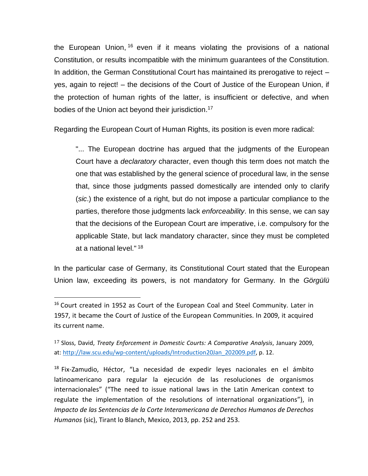the European Union, <sup>16</sup> even if it means violating the provisions of a national Constitution, or results incompatible with the minimum guarantees of the Constitution. In addition, the German Constitutional Court has maintained its prerogative to reject – yes, again to reject! – the decisions of the Court of Justice of the European Union, if the protection of human rights of the latter, is insufficient or defective, and when bodies of the Union act beyond their jurisdiction.<sup>17</sup>

Regarding the European Court of Human Rights, its position is even more radical:

"... The European doctrine has argued that the judgments of the European Court have a *declaratory* character, even though this term does not match the one that was established by the general science of procedural law, in the sense that, since those judgments passed domestically are intended only to clarify (*sic*.) the existence of a right, but do not impose a particular compliance to the parties, therefore those judgments lack *enforceability*. In this sense, we can say that the decisions of the European Court are imperative, i.e. compulsory for the applicable State, but lack mandatory character, since they must be completed at a national level." <sup>18</sup>

In the particular case of Germany, its Constitutional Court stated that the European Union law, exceeding its powers, is not mandatory for Germany. In the *Görgülü*

 $\overline{a}$ 

<sup>18</sup> Fix-Zamudio, Héctor, "La necesidad de expedir leyes nacionales en el ámbito latinoamericano para regular la ejecución de las resoluciones de organismos internacionales" ("The need to issue national laws in the Latin American context to regulate the implementation of the resolutions of international organizations"), in *Impacto de las Sentencias de la Corte Interamericana de Derechos Humanos de Derechos Humanos* (sic), Tirant lo Blanch, Mexico, 2013, pp. 252 and 253.

<sup>&</sup>lt;sup>16</sup> Court created in 1952 as Court of the European Coal and Steel Community. Later in 1957, it became the Court of Justice of the European Communities. In 2009, it acquired its current name.

<sup>17</sup> Sloss, David, *Treaty Enforcement in Domestic Courts: A Comparative Analysis*, January 2009, at: [http://law.scu.edu/wp-content/uploads/Introduction20Jan\\_202009.pdf,](http://law.scu.edu/wp-content/uploads/Introduction20Jan_202009.pdf) p. 12.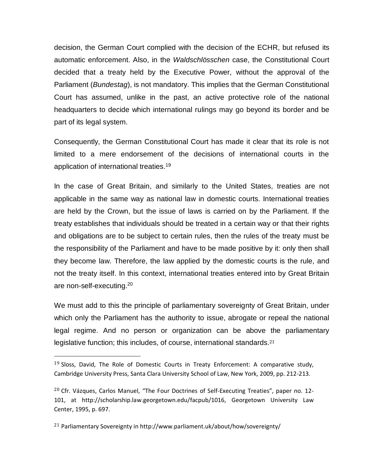decision, the German Court complied with the decision of the ECHR, but refused its automatic enforcement. Also, in the *Waldschlösschen* case, the Constitutional Court decided that a treaty held by the Executive Power, without the approval of the Parliament (*Bundestag*), is not mandatory. This implies that the German Constitutional Court has assumed, unlike in the past, an active protective role of the national headquarters to decide which international rulings may go beyond its border and be part of its legal system.

Consequently, the German Constitutional Court has made it clear that its role is not limited to a mere endorsement of the decisions of international courts in the application of international treaties. 19

In the case of Great Britain, and similarly to the United States, treaties are not applicable in the same way as national law in domestic courts. International treaties are held by the Crown, but the issue of laws is carried on by the Parliament. If the treaty establishes that individuals should be treated in a certain way or that their rights and obligations are to be subject to certain rules, then the rules of the treaty must be the responsibility of the Parliament and have to be made positive by it: only then shall they become law. Therefore, the law applied by the domestic courts is the rule, and not the treaty itself. In this context, international treaties entered into by Great Britain are non-self-executing.<sup>20</sup>

We must add to this the principle of parliamentary sovereignty of Great Britain, under which only the Parliament has the authority to issue, abrogate or repeal the national legal regime. And no person or organization can be above the parliamentary legislative function; this includes, of course, international standards.<sup>21</sup>

<sup>21</sup> Parliamentary Sovereignty in http://www.parliament.uk/about/how/sovereignty/

 $19$  Sloss, David, The Role of Domestic Courts in Treaty Enforcement: A comparative study, Cambridge University Press, Santa Clara University School of Law, New York, 2009, pp. 212-213.

 $20$  Cfr. Vázques, Carlos Manuel, "The Four Doctrines of Self-Executing Treaties", paper no. 12-101, at [http://scholarship.law.georgetown.edu/facpub/1016,](http://scholarship.law.georgetown.edu/facpub/1016) Georgetown University Law Center, 1995, p. 697.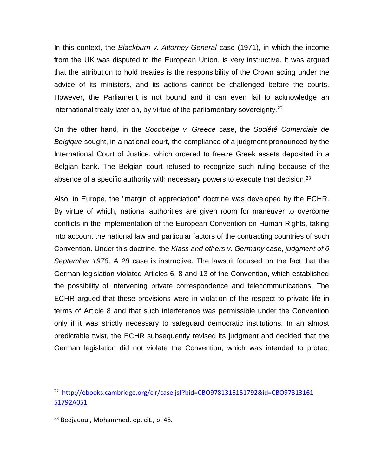In this context, the *Blackburn v. Attorney-General* case (1971), in which the income from the UK was disputed to the European Union, is very instructive. It was argued that the attribution to hold treaties is the responsibility of the Crown acting under the advice of its ministers, and its actions cannot be challenged before the courts. However, the Parliament is not bound and it can even fail to acknowledge an international treaty later on, by virtue of the parliamentary sovereignty.<sup>22</sup>

On the other hand, in the *Socobelge v. Greece* case, the *Société Comerciale de Belgique* sought, in a national court, the compliance of a judgment pronounced by the International Court of Justice, which ordered to freeze Greek assets deposited in a Belgian bank. The Belgian court refused to recognize such ruling because of the absence of a specific authority with necessary powers to execute that decision. 23

Also, in Europe, the "margin of appreciation" doctrine was developed by the ECHR. By virtue of which, national authorities are given room for maneuver to overcome conflicts in the implementation of the European Convention on Human Rights, taking into account the national law and particular factors of the contracting countries of such Convention. Under this doctrine, the *Klass and others v. Germany* case, *judgment of 6 September 1978, A 28* case is instructive. The lawsuit focused on the fact that the German legislation violated Articles 6, 8 and 13 of the Convention, which established the possibility of intervening private correspondence and telecommunications. The ECHR argued that these provisions were in violation of the respect to private life in terms of Article 8 and that such interference was permissible under the Convention only if it was strictly necessary to safeguard democratic institutions. In an almost predictable twist, the ECHR subsequently revised its judgment and decided that the German legislation did not violate the Convention, which was intended to protect

<sup>&</sup>lt;sup>22</sup> [http://ebooks.cambridge.org/clr/case.jsf?bid=CBO9781316151792&id=CBO97813161](http://ebooks.cambridge.org/clr/case.jsf?bid=CBO9781316151792&id=CBO9781316151792A051) [51792A051](http://ebooks.cambridge.org/clr/case.jsf?bid=CBO9781316151792&id=CBO9781316151792A051)

<sup>&</sup>lt;sup>23</sup> Bedjauoui, Mohammed, op. cit., p. 48.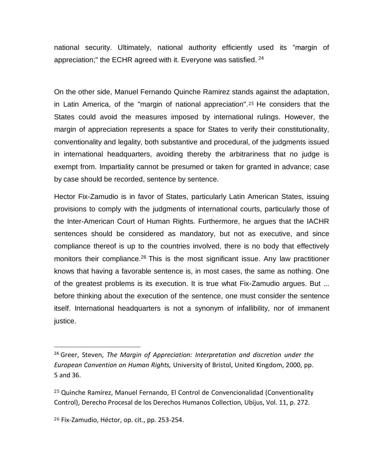national security. Ultimately, national authority efficiently used its "margin of appreciation;" the ECHR agreed with it. Everyone was satisfied.  $^{24}$ 

On the other side, Manuel Fernando Quinche Ramirez stands against the adaptation, in Latin America, of the "margin of national appreciation".<sup>25</sup> He considers that the States could avoid the measures imposed by international rulings. However, the margin of appreciation represents a space for States to verify their constitutionality, conventionality and legality, both substantive and procedural, of the judgments issued in international headquarters, avoiding thereby the arbitrariness that no judge is exempt from. Impartiality cannot be presumed or taken for granted in advance; case by case should be recorded, sentence by sentence.

Hector Fix-Zamudio is in favor of States, particularly Latin American States, issuing provisions to comply with the judgments of international courts, particularly those of the Inter-American Court of Human Rights. Furthermore, he argues that the IACHR sentences should be considered as mandatory, but not as executive, and since compliance thereof is up to the countries involved, there is no body that effectively monitors their compliance.<sup>26</sup> This is the most significant issue. Any law practitioner knows that having a favorable sentence is, in most cases, the same as nothing. One of the greatest problems is its execution. It is true what Fix-Zamudio argues. But ... before thinking about the execution of the sentence, one must consider the sentence itself. International headquarters is not a synonym of infallibility, nor of immanent justice.

<sup>24</sup> Greer, Steven, *The Margin of Appreciation: Interpretation and discretion under the European Convention on Human Rights,* University of Bristol, United Kingdom, 2000, pp. 5 and 36.

<sup>25</sup> Quinche Ramírez, Manuel Fernando, El Control de Convencionalidad (Conventionality Control), Derecho Procesal de los Derechos Humanos Collection, Ubijus, Vol. 11, p. 272.

<sup>26</sup> Fix-Zamudio, Héctor, op. cit., pp. 253-254.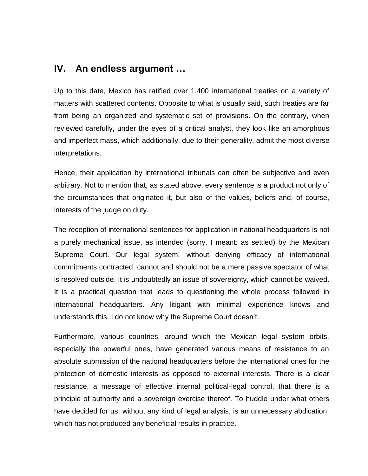#### **IV. An endless argument …**

Up to this date, Mexico has ratified over 1,400 international treaties on a variety of matters with scattered contents. Opposite to what is usually said, such treaties are far from being an organized and systematic set of provisions. On the contrary, when reviewed carefully, under the eyes of a critical analyst, they look like an amorphous and imperfect mass, which additionally, due to their generality, admit the most diverse interpretations.

Hence, their application by international tribunals can often be subjective and even arbitrary. Not to mention that, as stated above, every sentence is a product not only of the circumstances that originated it, but also of the values, beliefs and, of course, interests of the judge on duty.

The reception of international sentences for application in national headquarters is not a purely mechanical issue, as intended (sorry, I meant: as settled) by the Mexican Supreme Court. Our legal system, without denying efficacy of international commitments contracted, cannot and should not be a mere passive spectator of what is resolved outside. It is undoubtedly an issue of sovereignty, which cannot be waived. It is a practical question that leads to questioning the whole process followed in international headquarters. Any litigant with minimal experience knows and understands this. I do not know why the Supreme Court doesn't.

Furthermore, various countries, around which the Mexican legal system orbits, especially the powerful ones, have generated various means of resistance to an absolute submission of the national headquarters before the international ones for the protection of domestic interests as opposed to external interests. There is a clear resistance, a message of effective internal political-legal control, that there is a principle of authority and a sovereign exercise thereof. To huddle under what others have decided for us, without any kind of legal analysis, is an unnecessary abdication, which has not produced any beneficial results in practice.